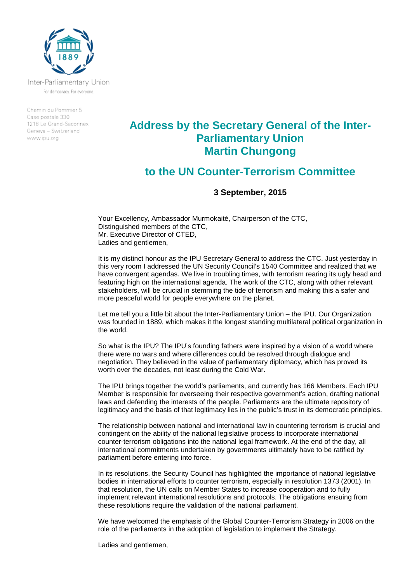

Inter-Parliamentary Union For democracy. For everyone.

Chemin du Pommier 5 Case postale 330 1218 Le Grand-Saconnex Geneva - Switzerland www.ipu.org

## **Address by the Secretary General of the Inter-Parliamentary Union Martin Chungong**

## **to the UN Counter-Terrorism Committee**

## **3 September, 2015**

Your Excellency, Ambassador Murmokaité, Chairperson of the CTC, Distinguished members of the CTC, Mr. Executive Director of CTED, Ladies and gentlemen,

It is my distinct honour as the IPU Secretary General to address the CTC. Just yesterday in this very room I addressed the UN Security Council's 1540 Committee and realized that we have convergent agendas. We live in troubling times, with terrorism rearing its ugly head and featuring high on the international agenda. The work of the CTC, along with other relevant stakeholders, will be crucial in stemming the tide of terrorism and making this a safer and more peaceful world for people everywhere on the planet.

Let me tell you a little bit about the Inter-Parliamentary Union – the IPU. Our Organization was founded in 1889, which makes it the longest standing multilateral political organization in the world.

So what is the IPU? The IPU's founding fathers were inspired by a vision of a world where there were no wars and where differences could be resolved through dialogue and negotiation. They believed in the value of parliamentary diplomacy, which has proved its worth over the decades, not least during the Cold War.

The IPU brings together the world's parliaments, and currently has 166 Members. Each IPU Member is responsible for overseeing their respective government's action, drafting national laws and defending the interests of the people. Parliaments are the ultimate repository of legitimacy and the basis of that legitimacy lies in the public's trust in its democratic principles.

The relationship between national and international law in countering terrorism is crucial and contingent on the ability of the national legislative process to incorporate international counter-terrorism obligations into the national legal framework. At the end of the day, all international commitments undertaken by governments ultimately have to be ratified by parliament before entering into force.

In its resolutions, the Security Council has highlighted the importance of national legislative bodies in international efforts to counter terrorism, especially in resolution 1373 (2001). In that resolution, the UN calls on Member States to increase cooperation and to fully implement relevant international resolutions and protocols. The obligations ensuing from these resolutions require the validation of the national parliament.

We have welcomed the emphasis of the Global Counter-Terrorism Strategy in 2006 on the role of the parliaments in the adoption of legislation to implement the Strategy.

Ladies and gentlemen,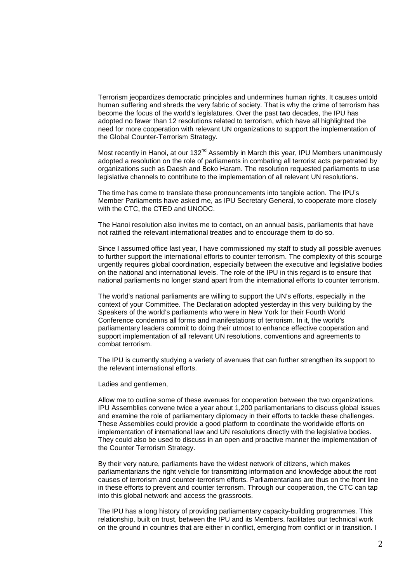Terrorism jeopardizes democratic principles and undermines human rights. It causes untold human suffering and shreds the very fabric of society. That is why the crime of terrorism has become the focus of the world's legislatures. Over the past two decades, the IPU has adopted no fewer than 12 resolutions related to terrorism, which have all highlighted the need for more cooperation with relevant UN organizations to support the implementation of the Global Counter-Terrorism Strategy.

Most recently in Hanoi, at our  $132<sup>nd</sup>$  Assembly in March this year, IPU Members unanimously adopted a resolution on the role of parliaments in combating all terrorist acts perpetrated by organizations such as Daesh and Boko Haram. The resolution requested parliaments to use legislative channels to contribute to the implementation of all relevant UN resolutions.

The time has come to translate these pronouncements into tangible action. The IPU's Member Parliaments have asked me, as IPU Secretary General, to cooperate more closely with the CTC, the CTED and UNODC.

The Hanoi resolution also invites me to contact, on an annual basis, parliaments that have not ratified the relevant international treaties and to encourage them to do so.

Since I assumed office last year, I have commissioned my staff to study all possible avenues to further support the international efforts to counter terrorism. The complexity of this scourge urgently requires global coordination, especially between the executive and legislative bodies on the national and international levels. The role of the IPU in this regard is to ensure that national parliaments no longer stand apart from the international efforts to counter terrorism.

The world's national parliaments are willing to support the UN's efforts, especially in the context of your Committee. The Declaration adopted yesterday in this very building by the Speakers of the world's parliaments who were in New York for their Fourth World Conference condemns all forms and manifestations of terrorism. In it, the world's parliamentary leaders commit to doing their utmost to enhance effective cooperation and support implementation of all relevant UN resolutions, conventions and agreements to combat terrorism.

The IPU is currently studying a variety of avenues that can further strengthen its support to the relevant international efforts.

Ladies and gentlemen,

Allow me to outline some of these avenues for cooperation between the two organizations. IPU Assemblies convene twice a year about 1,200 parliamentarians to discuss global issues and examine the role of parliamentary diplomacy in their efforts to tackle these challenges. These Assemblies could provide a good platform to coordinate the worldwide efforts on implementation of international law and UN resolutions directly with the legislative bodies. They could also be used to discuss in an open and proactive manner the implementation of the Counter Terrorism Strategy.

By their very nature, parliaments have the widest network of citizens, which makes parliamentarians the right vehicle for transmitting information and knowledge about the root causes of terrorism and counter-terrorism efforts. Parliamentarians are thus on the front line in these efforts to prevent and counter terrorism. Through our cooperation, the CTC can tap into this global network and access the grassroots.

The IPU has a long history of providing parliamentary capacity-building programmes. This relationship, built on trust, between the IPU and its Members, facilitates our technical work on the ground in countries that are either in conflict, emerging from conflict or in transition. I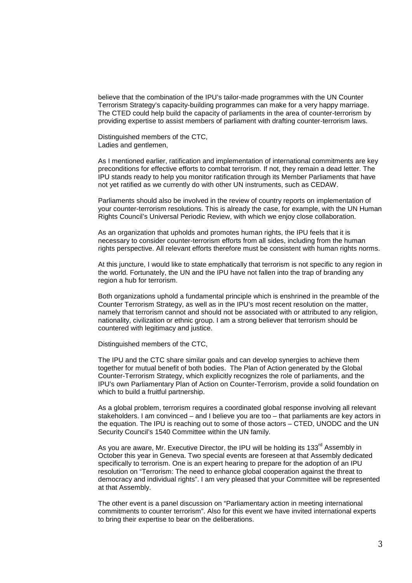believe that the combination of the IPU's tailor-made programmes with the UN Counter Terrorism Strategy's capacity-building programmes can make for a very happy marriage. The CTED could help build the capacity of parliaments in the area of counter-terrorism by providing expertise to assist members of parliament with drafting counter-terrorism laws.

Distinguished members of the CTC, Ladies and gentlemen,

As I mentioned earlier, ratification and implementation of international commitments are key preconditions for effective efforts to combat terrorism. If not, they remain a dead letter. The IPU stands ready to help you monitor ratification through its Member Parliaments that have not yet ratified as we currently do with other UN instruments, such as CEDAW.

Parliaments should also be involved in the review of country reports on implementation of your counter-terrorism resolutions. This is already the case, for example, with the UN Human Rights Council's Universal Periodic Review, with which we enjoy close collaboration.

As an organization that upholds and promotes human rights, the IPU feels that it is necessary to consider counter-terrorism efforts from all sides, including from the human rights perspective. All relevant efforts therefore must be consistent with human rights norms.

At this juncture, I would like to state emphatically that terrorism is not specific to any region in the world. Fortunately, the UN and the IPU have not fallen into the trap of branding any region a hub for terrorism.

Both organizations uphold a fundamental principle which is enshrined in the preamble of the Counter Terrorism Strategy, as well as in the IPU's most recent resolution on the matter, namely that terrorism cannot and should not be associated with or attributed to any religion, nationality, civilization or ethnic group. I am a strong believer that terrorism should be countered with legitimacy and justice.

Distinguished members of the CTC,

The IPU and the CTC share similar goals and can develop synergies to achieve them together for mutual benefit of both bodies. The Plan of Action generated by the Global Counter-Terrorism Strategy, which explicitly recognizes the role of parliaments, and the IPU's own Parliamentary Plan of Action on Counter-Terrorism, provide a solid foundation on which to build a fruitful partnership.

As a global problem, terrorism requires a coordinated global response involving all relevant stakeholders. I am convinced – and I believe you are too – that parliaments are key actors in the equation. The IPU is reaching out to some of those actors – CTED, UNODC and the UN Security Council's 1540 Committee within the UN family.

As you are aware, Mr. Executive Director, the IPU will be holding its  $133<sup>rd</sup>$  Assembly in October this year in Geneva. Two special events are foreseen at that Assembly dedicated specifically to terrorism. One is an expert hearing to prepare for the adoption of an IPU resolution on "Terrorism: The need to enhance global cooperation against the threat to democracy and individual rights". I am very pleased that your Committee will be represented at that Assembly.

The other event is a panel discussion on "Parliamentary action in meeting international commitments to counter terrorism". Also for this event we have invited international experts to bring their expertise to bear on the deliberations.